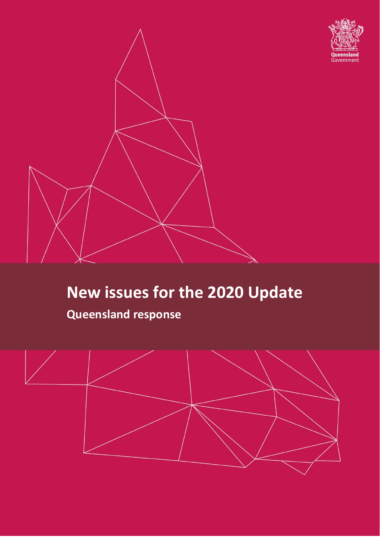



# **New issues for the 2020 Update**

## **Queensland response**

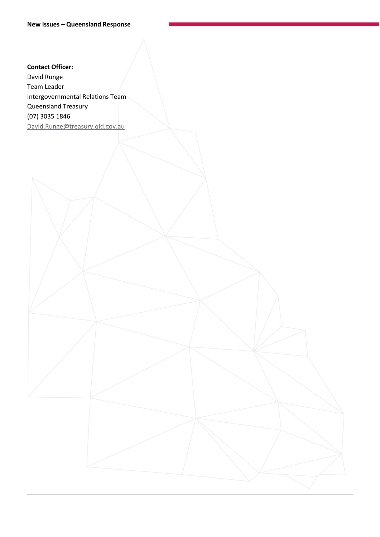#### **Contact Officer:**

David Runge Team Leader Intergovernmental Relations Team Queensland Treasury (07) 3035 1846 [David.Runge@treasury.qld.gov.au](mailto:David.Runge@treasury.qld.gov.au)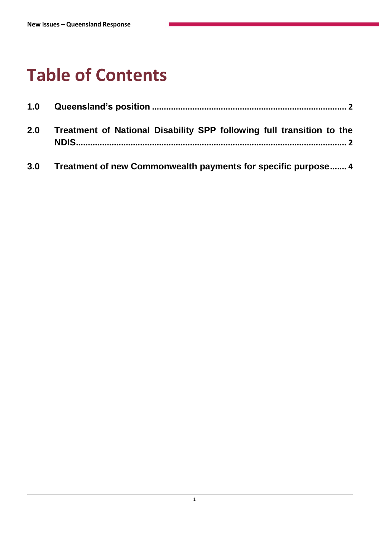## **Table of Contents**

| 1.0 |                                                                       |  |
|-----|-----------------------------------------------------------------------|--|
| 2.0 | Treatment of National Disability SPP following full transition to the |  |

**3.0 [Treatment of new Commonwealth payments for specific purpose](#page-5-0)....... 4**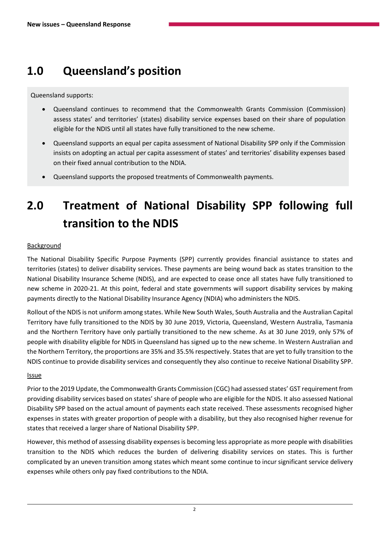### <span id="page-3-0"></span>**1.0 Queensland's position**

Queensland supports:

- Queensland continues to recommend that the Commonwealth Grants Commission (Commission) assess states' and territories' (states) disability service expenses based on their share of population eligible for the NDIS until all states have fully transitioned to the new scheme.
- Queensland supports an equal per capita assessment of National Disability SPP only if the Commission insists on adopting an actual per capita assessment of states' and territories' disability expenses based on their fixed annual contribution to the NDIA.
- Queensland supports the proposed treatments of Commonwealth payments.

## <span id="page-3-1"></span>**2.0 Treatment of National Disability SPP following full transition to the NDIS**

#### **Background**

The National Disability Specific Purpose Payments (SPP) currently provides financial assistance to states and territories (states) to deliver disability services. These payments are being wound back as states transition to the National Disability Insurance Scheme (NDIS), and are expected to cease once all states have fully transitioned to new scheme in 2020-21. At this point, federal and state governments will support disability services by making payments directly to the National Disability Insurance Agency (NDIA) who administers the NDIS.

Rollout of the NDIS is not uniform among states. While New South Wales, South Australia and the Australian Capital Territory have fully transitioned to the NDIS by 30 June 2019, Victoria, Queensland, Western Australia, Tasmania and the Northern Territory have only partially transitioned to the new scheme. As at 30 June 2019, only 57% of people with disability eligible for NDIS in Queensland has signed up to the new scheme. In Western Australian and the Northern Territory, the proportions are 35% and 35.5% respectively. States that are yet to fully transition to the NDIS continue to provide disability services and consequently they also continue to receive National Disability SPP.

#### Issue

Prior to the 2019 Update, the Commonwealth Grants Commission (CGC) had assessed states' GST requirement from providing disability services based on states' share of people who are eligible for the NDIS. It also assessed National Disability SPP based on the actual amount of payments each state received. These assessments recognised higher expenses in states with greater proportion of people with a disability, but they also recognised higher revenue for states that received a larger share of National Disability SPP.

However, this method of assessing disability expenses is becoming less appropriate as more people with disabilities transition to the NDIS which reduces the burden of delivering disability services on states. This is further complicated by an uneven transition among states which meant some continue to incur significant service delivery expenses while others only pay fixed contributions to the NDIA.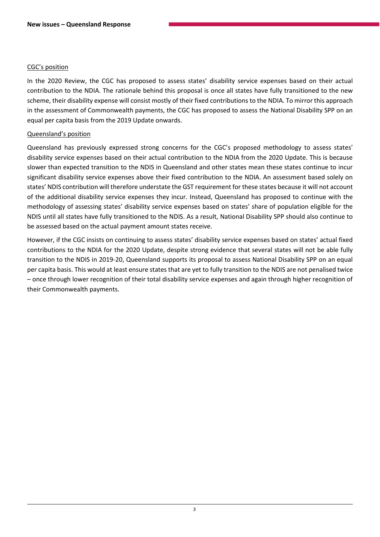#### CGC's position

In the 2020 Review, the CGC has proposed to assess states' disability service expenses based on their actual contribution to the NDIA. The rationale behind this proposal is once all states have fully transitioned to the new scheme, their disability expense will consist mostly of their fixed contributions to the NDIA. To mirror this approach in the assessment of Commonwealth payments, the CGC has proposed to assess the National Disability SPP on an equal per capita basis from the 2019 Update onwards.

#### Queensland's position

Queensland has previously expressed strong concerns for the CGC's proposed methodology to assess states' disability service expenses based on their actual contribution to the NDIA from the 2020 Update. This is because slower than expected transition to the NDIS in Queensland and other states mean these states continue to incur significant disability service expenses above their fixed contribution to the NDIA. An assessment based solely on states' NDIS contribution will therefore understate the GST requirement for these states because it will not account of the additional disability service expenses they incur. Instead, Queensland has proposed to continue with the methodology of assessing states' disability service expenses based on states' share of population eligible for the NDIS until all states have fully transitioned to the NDIS. As a result, National Disability SPP should also continue to be assessed based on the actual payment amount states receive.

However, if the CGC insists on continuing to assess states' disability service expenses based on states' actual fixed contributions to the NDIA for the 2020 Update, despite strong evidence that several states will not be able fully transition to the NDIS in 2019-20, Queensland supports its proposal to assess National Disability SPP on an equal per capita basis. This would at least ensure states that are yet to fully transition to the NDIS are not penalised twice – once through lower recognition of their total disability service expenses and again through higher recognition of their Commonwealth payments.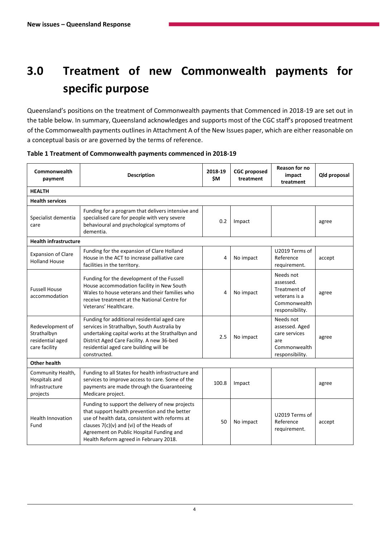## <span id="page-5-0"></span>**3.0 Treatment of new Commonwealth payments for specific purpose**

Queensland's positions on the treatment of Commonwealth payments that Commenced in 2018-19 are set out in the table below. In summary, Queensland acknowledges and supports most of the CGC staff's proposed treatment of the Commonwealth payments outlines in Attachment A of the New Issues paper, which are either reasonable on a conceptual basis or are governed by the terms of reference.

| Commonwealth<br>payment                                              | <b>Description</b>                                                                                                                                                                                                                                                                   | 2018-19<br>\$M | <b>CGC</b> proposed<br>treatment | Reason for no<br>impact<br>treatment                                                       | Qld proposal |  |  |
|----------------------------------------------------------------------|--------------------------------------------------------------------------------------------------------------------------------------------------------------------------------------------------------------------------------------------------------------------------------------|----------------|----------------------------------|--------------------------------------------------------------------------------------------|--------------|--|--|
| <b>HEALTH</b>                                                        |                                                                                                                                                                                                                                                                                      |                |                                  |                                                                                            |              |  |  |
| <b>Health services</b>                                               |                                                                                                                                                                                                                                                                                      |                |                                  |                                                                                            |              |  |  |
| Specialist dementia<br>care                                          | Funding for a program that delivers intensive and<br>specialised care for people with very severe<br>behavioural and psychological symptoms of<br>dementia.                                                                                                                          | 0.2            | Impact                           |                                                                                            | agree        |  |  |
| <b>Health infrastructure</b>                                         |                                                                                                                                                                                                                                                                                      |                |                                  |                                                                                            |              |  |  |
| <b>Expansion of Clare</b><br><b>Holland House</b>                    | Funding for the expansion of Clare Holland<br>House in the ACT to increase palliative care<br>facilities in the territory.                                                                                                                                                           | 4              | No impact                        | U2019 Terms of<br>Reference<br>requirement.                                                | accept       |  |  |
| <b>Fussell House</b><br>accommodation                                | Funding for the development of the Fussell<br>House accommodation facility in New South<br>Wales to house veterans and their families who<br>receive treatment at the National Centre for<br>Veterans' Healthcare.                                                                   | 4              | No impact                        | Needs not<br>assessed.<br>Treatment of<br>veterans is a<br>Commonwealth<br>responsibility. | agree        |  |  |
| Redevelopment of<br>Strathalbyn<br>residential aged<br>care facility | Funding for additional residential aged care<br>services in Strathalbyn, South Australia by<br>undertaking capital works at the Strathalbyn and<br>District Aged Care Facility. A new 36-bed<br>residential aged care building will be<br>constructed.                               | 2.5            | No impact                        | Needs not<br>assessed. Aged<br>care services<br>are<br>Commonwealth<br>responsibility.     | agree        |  |  |
| Other health                                                         |                                                                                                                                                                                                                                                                                      |                |                                  |                                                                                            |              |  |  |
| Community Health,<br>Hospitals and<br>Infrastructure<br>projects     | Funding to all States for health infrastructure and<br>services to improve access to care. Some of the<br>payments are made through the Guaranteeing<br>Medicare project.                                                                                                            | 100.8          | Impact                           |                                                                                            | agree        |  |  |
| <b>Health Innovation</b><br>Fund                                     | Funding to support the delivery of new projects<br>that support health prevention and the better<br>use of health data, consistent with reforms at<br>clauses 7(c)(v) and (vi) of the Heads of<br>Agreement on Public Hospital Funding and<br>Health Reform agreed in February 2018. | 50             | No impact                        | U2019 Terms of<br>Reference<br>requirement.                                                | accept       |  |  |

**Table 1 Treatment of Commonwealth payments commenced in 2018-19**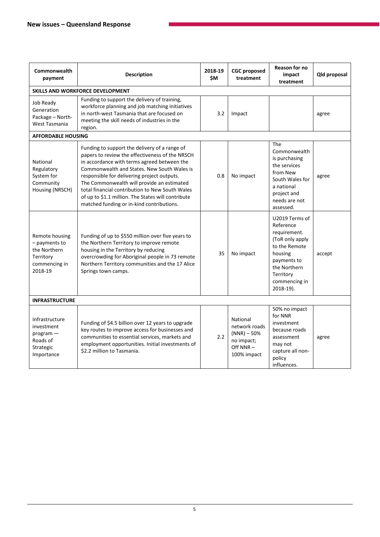| Commonwealth<br>payment                                                                  | <b>Description</b>                                                                                                                                                                                                                                                                                                                                                                                                                                | 2018-19<br>\$M | <b>CGC</b> proposed<br>treatment                                                    | Reason for no<br>impact<br>treatment                                                                                                                                    | Qld proposal |  |  |
|------------------------------------------------------------------------------------------|---------------------------------------------------------------------------------------------------------------------------------------------------------------------------------------------------------------------------------------------------------------------------------------------------------------------------------------------------------------------------------------------------------------------------------------------------|----------------|-------------------------------------------------------------------------------------|-------------------------------------------------------------------------------------------------------------------------------------------------------------------------|--------------|--|--|
|                                                                                          | <b>SKILLS AND WORKFORCE DEVELOPMENT</b>                                                                                                                                                                                                                                                                                                                                                                                                           |                |                                                                                     |                                                                                                                                                                         |              |  |  |
| Job Ready<br>Generation<br>Package - North-<br>West Tasmania                             | Funding to support the delivery of training,<br>workforce planning and job matching initiatives<br>in north-west Tasmania that are focused on<br>meeting the skill needs of industries in the<br>region.                                                                                                                                                                                                                                          | 3.2            | Impact                                                                              |                                                                                                                                                                         | agree        |  |  |
| <b>AFFORDABLE HOUSING</b>                                                                |                                                                                                                                                                                                                                                                                                                                                                                                                                                   |                |                                                                                     |                                                                                                                                                                         |              |  |  |
| National<br>Regulatory<br>System for<br>Community<br>Housing (NRSCH)                     | Funding to support the delivery of a range of<br>papers to review the effectiveness of the NRSCH<br>in accordance with terms agreed between the<br>Commonwealth and States. New South Wales is<br>responsible for delivering project outputs.<br>The Commonwealth will provide an estimated<br>total financial contribution to New South Wales<br>of up to \$1.1 million. The States will contribute<br>matched funding or in-kind contributions. | 0.8            | No impact                                                                           | <b>The</b><br>Commonwealth<br>is purchasing<br>the services<br>from New<br>South Wales for<br>a national<br>project and<br>needs are not<br>assessed.                   | agree        |  |  |
| Remote housing<br>- payments to<br>the Northern<br>Territory<br>commencing in<br>2018-19 | Funding of up to \$550 million over five years to<br>the Northern Territory to improve remote<br>housing in the Territory by reducing<br>overcrowding for Aboriginal people in 73 remote<br>Northern Territory communities and the 17 Alice<br>Springs town camps.                                                                                                                                                                                | 35             | No impact                                                                           | U2019 Terms of<br>Reference<br>requirement.<br>(ToR only apply<br>to the Remote<br>housing<br>payments to<br>the Northern<br>Territory<br>commencing in<br>$2018-19$ ). | accept       |  |  |
| <b>INFRASTRUCTURE</b>                                                                    |                                                                                                                                                                                                                                                                                                                                                                                                                                                   |                |                                                                                     |                                                                                                                                                                         |              |  |  |
| Infrastructure<br>investment<br>$program -$<br>Roads of<br>Strategic<br>Importance       | Funding of \$4.5 billion over 12 years to upgrade<br>key routes to improve access for businesses and<br>communities to essential services, markets and<br>employment opportunities. Initial investments of<br>\$2.2 million to Tasmania.                                                                                                                                                                                                          | 2.2            | National<br>network roads<br>$(NNR) - 50%$<br>no impact;<br>Off NNR-<br>100% impact | 50% no impact<br>for NNR<br>investment<br>because roads<br>assessment<br>may not<br>capture all non-<br>policy<br>influences.                                           | agree        |  |  |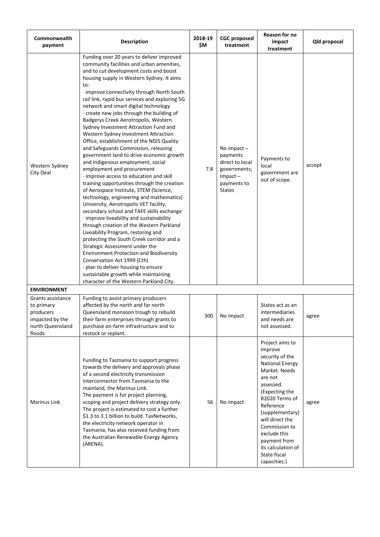| Commonwealth<br>payment                                                                       | <b>Description</b>                                                                                                                                                                                                                                                                                                                                                                                                                                                                                                                                                                                                                                                                                                                                                                                                                                                                                                                                                                                                                                                                                                                                                                                                                                                                                                                                                                                    | 2018-19<br>\$M | <b>CGC</b> proposed<br>treatment                                                                              | Reason for no<br>impact<br>treatment                                                                                                                                                                                                                                                                           | Qld proposal |
|-----------------------------------------------------------------------------------------------|-------------------------------------------------------------------------------------------------------------------------------------------------------------------------------------------------------------------------------------------------------------------------------------------------------------------------------------------------------------------------------------------------------------------------------------------------------------------------------------------------------------------------------------------------------------------------------------------------------------------------------------------------------------------------------------------------------------------------------------------------------------------------------------------------------------------------------------------------------------------------------------------------------------------------------------------------------------------------------------------------------------------------------------------------------------------------------------------------------------------------------------------------------------------------------------------------------------------------------------------------------------------------------------------------------------------------------------------------------------------------------------------------------|----------------|---------------------------------------------------------------------------------------------------------------|----------------------------------------------------------------------------------------------------------------------------------------------------------------------------------------------------------------------------------------------------------------------------------------------------------------|--------------|
| Western Sydney<br>City Deal                                                                   | Funding over 20 years to deliver improved<br>community facilities and urban amenities,<br>and to cut development costs and boost<br>housing supply in Western Sydney. It aims<br>to:<br>· improve connectivity through North South<br>rail link, rapid bus services and exploring 5G<br>network and smart digital technology<br>· create new jobs through the building of<br>Badgerys Creek Aerotropolis, Western<br>Sydney Investment Attraction Fund and<br>Western Sydney Investment Attraction<br>Office, establishment of the NDIS Quality<br>and Safeguards Commission, releasing<br>government land to drive economic growth<br>and Indigenous employment, social<br>employment and procurement<br>· improve access to education and skill<br>training opportunities through the creation<br>of Aerospace Institute, STEM (Science,<br>technology, engineering and mathematics)<br>University, Aerotropolis VET facility,<br>secondary school and TAFE skills exchange<br>· improve liveability and sustainability<br>through creation of the Western Parkland<br>Liveability Program, restoring and<br>protecting the South Creek corridor and a<br>Strategic Assessment under the<br><b>Environment Protection and Biodiversity</b><br>Conservation Act 1999 (Cth)<br>· plan to deliver housing to ensure<br>sustainable growth while maintaining<br>character of the Western Parkland City. | 7.8            | No impact $-$<br>payments<br>direct to local<br>governments;<br>$Im$ pact $-$<br>payments to<br><b>States</b> | Payments to<br>local<br>government are<br>out of scope.                                                                                                                                                                                                                                                        | accept       |
| <b>ENVIRONMENT</b>                                                                            |                                                                                                                                                                                                                                                                                                                                                                                                                                                                                                                                                                                                                                                                                                                                                                                                                                                                                                                                                                                                                                                                                                                                                                                                                                                                                                                                                                                                       |                |                                                                                                               |                                                                                                                                                                                                                                                                                                                |              |
| Grants assistance<br>to primary<br>producers<br>impacted by the<br>north Queensland<br>floods | Funding to assist primary producers<br>affected by the north and far north<br>Queensland monsoon trough to rebuild<br>their farm enterprises through grants to<br>purchase on-farm infrastructure and to<br>restock or replant.                                                                                                                                                                                                                                                                                                                                                                                                                                                                                                                                                                                                                                                                                                                                                                                                                                                                                                                                                                                                                                                                                                                                                                       | 300            | No impact                                                                                                     | States act as an<br>intermediaries<br>and needs are<br>not assessed.                                                                                                                                                                                                                                           | agree        |
| <b>Marinus Link</b>                                                                           | Funding to Tasmania to support progress<br>towards the delivery and approvals phase<br>of a second electricity transmission<br>interconnector from Tasmania to the<br>mainland, the Marinus Link.<br>The payment is for project planning,<br>scoping and project delivery strategy only.<br>The project is estimated to cost a further<br>\$1.3 to 3.1 billion to build. TasNetworks,<br>the electricity network operator in<br>Tasmania, has also received funding from<br>the Australian Renewable Energy Agency<br>(ARENA).                                                                                                                                                                                                                                                                                                                                                                                                                                                                                                                                                                                                                                                                                                                                                                                                                                                                        | 56             | No impact                                                                                                     | Project aims to<br>improve<br>security of the<br><b>National Energy</b><br>Market. Needs<br>are not<br>assessed.<br>(Expecting the<br>R2020 Terms of<br>Reference<br>(supplementary)<br>will direct the<br>Commission to<br>exclude this<br>payment from<br>its calculation of<br>State fiscal<br>capacities.) | agree        |